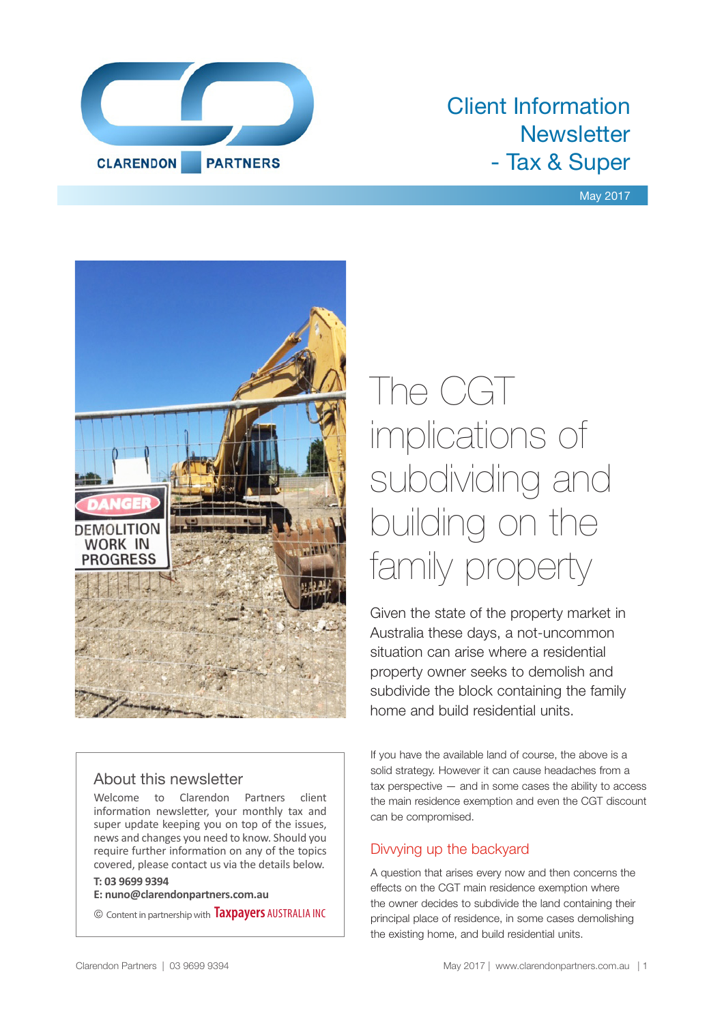

# Client Information **Newsletter** - Tax & Super

### May 2017



# About this newsletter

Welcome to Clarendon Partners client information newsletter, your monthly tax and super update keeping you on top of the issues, news and changes you need to know. Should you require further information on any of the topics covered, please contact us via the details below.

### **T: 03 9699 9394**

**E: nuno@clarendonpartners.com.au**

© Content in partnership with **Taxpayers** AUSTRALIA INC

# The CGT implications of subdividing and building on the family property

Given the state of the property market in Australia these days, a not-uncommon situation can arise where a residential property owner seeks to demolish and subdivide the block containing the family home and build residential units.

If you have the available land of course, the above is a solid strategy. However it can cause headaches from a tax perspective — and in some cases the ability to access the main residence exemption and even the CGT discount can be compromised.

## Divvying up the backyard

A question that arises every now and then concerns the effects on the CGT main residence exemption where the owner decides to subdivide the land containing their principal place of residence, in some cases demolishing the existing home, and build residential units.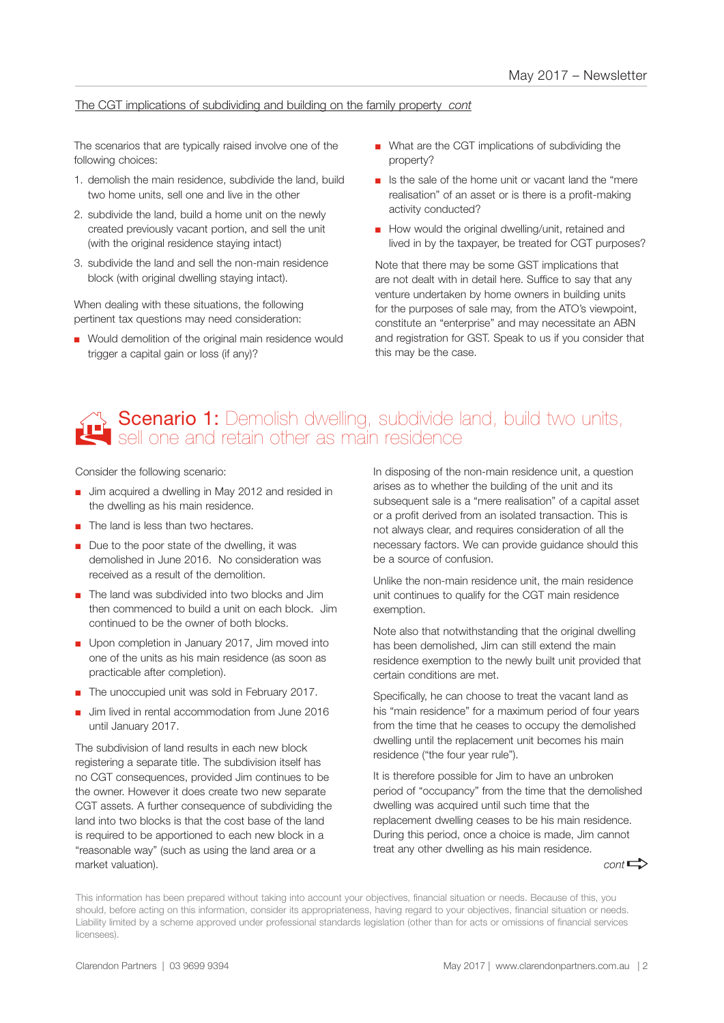### The CGT implications of subdividing and building on the family property *cont*

The scenarios that are typically raised involve one of the following choices:

- 1. demolish the main residence, subdivide the land, build two home units, sell one and live in the other
- 2. subdivide the land, build a home unit on the newly created previously vacant portion, and sell the unit (with the original residence staying intact)
- 3. subdivide the land and sell the non-main residence block (with original dwelling staying intact).

When dealing with these situations, the following pertinent tax questions may need consideration:

■ Would demolition of the original main residence would trigger a capital gain or loss (if any)?

- What are the CGT implications of subdividing the property?
- Is the sale of the home unit or vacant land the "mere" realisation" of an asset or is there is a profit-making activity conducted?
- How would the original dwelling/unit, retained and lived in by the taxpayer, be treated for CGT purposes?

Note that there may be some GST implications that are not dealt with in detail here. Suffice to say that any venture undertaken by home owners in building units for the purposes of sale may, from the ATO's viewpoint, constitute an "enterprise" and may necessitate an ABN and registration for GST. Speak to us if you consider that this may be the case.

# **Scenario 1:** Demolish dwelling, subdivide land, build two units, sell one and retain other as main residence

Consider the following scenario:

- Jim acquired a dwelling in May 2012 and resided in the dwelling as his main residence.
- The land is less than two hectares.
- Due to the poor state of the dwelling, it was demolished in June 2016. No consideration was received as a result of the demolition.
- The land was subdivided into two blocks and Jim then commenced to build a unit on each block. Jim continued to be the owner of both blocks.
- Upon completion in January 2017, Jim moved into one of the units as his main residence (as soon as practicable after completion).
- The unoccupied unit was sold in February 2017.
- Jim lived in rental accommodation from June 2016 until January 2017.

The subdivision of land results in each new block registering a separate title. The subdivision itself has no CGT consequences, provided Jim continues to be the owner. However it does create two new separate CGT assets. A further consequence of subdividing the land into two blocks is that the cost base of the land is required to be apportioned to each new block in a "reasonable way" (such as using the land area or a market valuation).

In disposing of the non-main residence unit, a question arises as to whether the building of the unit and its subsequent sale is a "mere realisation" of a capital asset or a profit derived from an isolated transaction. This is not always clear, and requires consideration of all the necessary factors. We can provide guidance should this be a source of confusion.

Unlike the non-main residence unit, the main residence unit continues to qualify for the CGT main residence exemption.

Note also that notwithstanding that the original dwelling has been demolished, Jim can still extend the main residence exemption to the newly built unit provided that certain conditions are met.

Specifically, he can choose to treat the vacant land as his "main residence" for a maximum period of four years from the time that he ceases to occupy the demolished dwelling until the replacement unit becomes his main residence ("the four year rule").

It is therefore possible for Jim to have an unbroken period of "occupancy" from the time that the demolished dwelling was acquired until such time that the replacement dwelling ceases to be his main residence. During this period, once a choice is made, Jim cannot treat any other dwelling as his main residence.

 $cont \rightarrow$ 

This information has been prepared without taking into account your objectives, financial situation or needs. Because of this, you should, before acting on this information, consider its appropriateness, having regard to your objectives, financial situation or needs. Liability limited by a scheme approved under professional standards legislation (other than for acts or omissions of financial services licensees).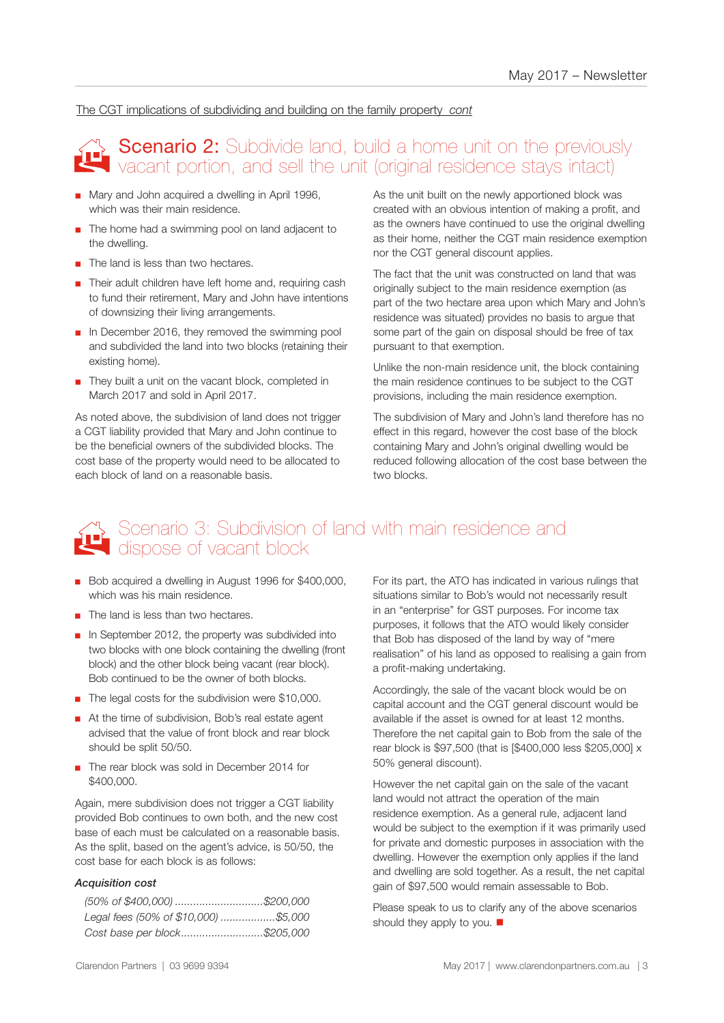#### The CGT implications of subdividing and building on the family property *cont*

# Scenario 2: Subdivide land, build a home unit on the previously<br>Vacant portion, and sell the unit (original residence stavs intact) vacant portion, and sell the unit (original residence stays intact)

- Mary and John acquired a dwelling in April 1996. which was their main residence.
- The home had a swimming pool on land adjacent to the dwelling.
- The land is less than two hectares.
- Their adult children have left home and, requiring cash to fund their retirement, Mary and John have intentions of downsizing their living arrangements.
- In December 2016, they removed the swimming pool and subdivided the land into two blocks (retaining their existing home).
- They built a unit on the vacant block, completed in March 2017 and sold in April 2017.

As noted above, the subdivision of land does not trigger a CGT liability provided that Mary and John continue to be the beneficial owners of the subdivided blocks. The cost base of the property would need to be allocated to each block of land on a reasonable basis.

As the unit built on the newly apportioned block was created with an obvious intention of making a profit, and as the owners have continued to use the original dwelling as their home, neither the CGT main residence exemption nor the CGT general discount applies.

The fact that the unit was constructed on land that was originally subject to the main residence exemption (as part of the two hectare area upon which Mary and John's residence was situated) provides no basis to argue that some part of the gain on disposal should be free of tax pursuant to that exemption.

Unlike the non-main residence unit, the block containing the main residence continues to be subject to the CGT provisions, including the main residence exemption.

The subdivision of Mary and John's land therefore has no effect in this regard, however the cost base of the block containing Mary and John's original dwelling would be reduced following allocation of the cost base between the two blocks.

# Scenario 3: Subdivision of land with main residence and Scenario 3: Subdivision<br>dispose of vacant block

- Bob acquired a dwelling in August 1996 for \$400,000, which was his main residence.
- The land is less than two hectares.
- In September 2012, the property was subdivided into two blocks with one block containing the dwelling (front block) and the other block being vacant (rear block). Bob continued to be the owner of both blocks.
- The legal costs for the subdivision were \$10,000.
- At the time of subdivision, Bob's real estate agent advised that the value of front block and rear block should be split 50/50.
- The rear block was sold in December 2014 for \$400,000.

Again, mere subdivision does not trigger a CGT liability provided Bob continues to own both, and the new cost base of each must be calculated on a reasonable basis. As the split, based on the agent's advice, is 50/50, the cost base for each block is as follows:

#### *Acquisition cost*

| Legal fees (50% of \$10,000) \$5,000 |  |
|--------------------------------------|--|
| Cost base per block\$205,000         |  |

For its part, the ATO has indicated in various rulings that situations similar to Bob's would not necessarily result in an "enterprise" for GST purposes. For income tax purposes, it follows that the ATO would likely consider that Bob has disposed of the land by way of "mere realisation" of his land as opposed to realising a gain from a profit-making undertaking.

Accordingly, the sale of the vacant block would be on capital account and the CGT general discount would be available if the asset is owned for at least 12 months. Therefore the net capital gain to Bob from the sale of the rear block is \$97,500 (that is [\$400,000 less \$205,000] x 50% general discount).

However the net capital gain on the sale of the vacant land would not attract the operation of the main residence exemption. As a general rule, adjacent land would be subject to the exemption if it was primarily used for private and domestic purposes in association with the dwelling. However the exemption only applies if the land and dwelling are sold together. As a result, the net capital gain of \$97,500 would remain assessable to Bob.

Please speak to us to clarify any of the above scenarios should they apply to you.  $\blacksquare$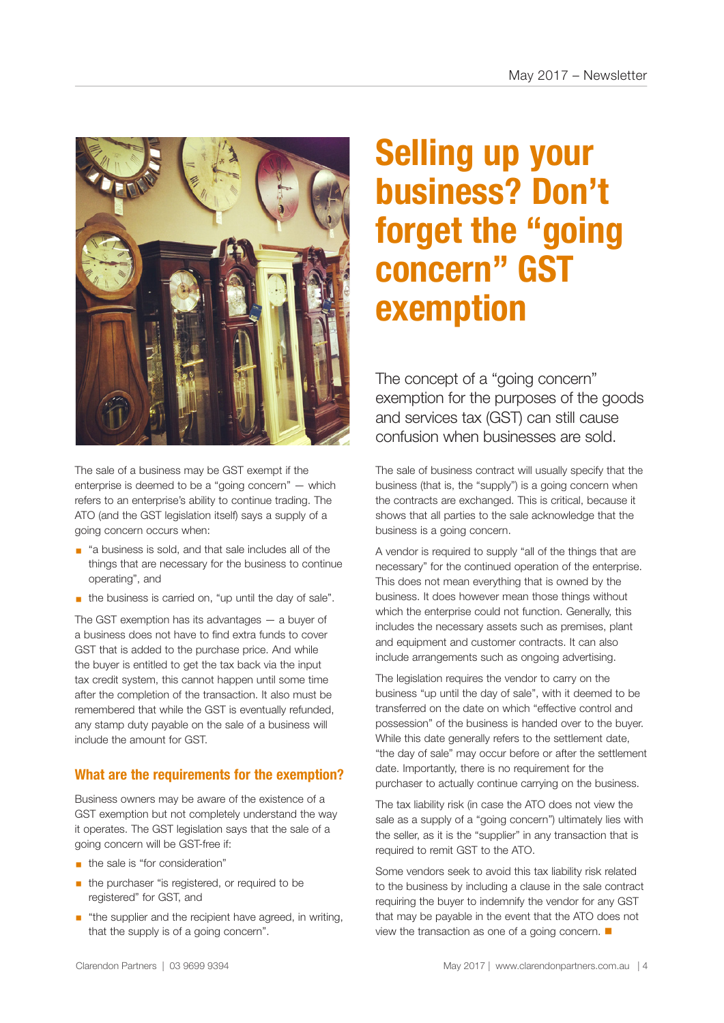

The sale of a business may be GST exempt if the enterprise is deemed to be a "going concern" — which refers to an enterprise's ability to continue trading. The ATO (and the GST legislation itself) says a supply of a going concern occurs when:

- "a business is sold, and that sale includes all of the things that are necessary for the business to continue operating", and
- the business is carried on, "up until the day of sale".

The GST exemption has its advantages — a buyer of a business does not have to find extra funds to cover GST that is added to the purchase price. And while the buyer is entitled to get the tax back via the input tax credit system, this cannot happen until some time after the completion of the transaction. It also must be remembered that while the GST is eventually refunded, any stamp duty payable on the sale of a business will include the amount for GST.

## **What are the requirements for the exemption?**

Business owners may be aware of the existence of a GST exemption but not completely understand the way it operates. The GST legislation says that the sale of a going concern will be GST-free if:

- **•** the sale is "for consideration"
- **•** the purchaser "is registered, or required to be registered" for GST, and
- "the supplier and the recipient have agreed, in writing, that the supply is of a going concern".

# **Selling up your business? Don't forget the "going concern" GST exemption**

The concept of a "going concern" exemption for the purposes of the goods and services tax (GST) can still cause confusion when businesses are sold.

The sale of business contract will usually specify that the business (that is, the "supply") is a going concern when the contracts are exchanged. This is critical, because it shows that all parties to the sale acknowledge that the business is a going concern.

A vendor is required to supply "all of the things that are necessary" for the continued operation of the enterprise. This does not mean everything that is owned by the business. It does however mean those things without which the enterprise could not function. Generally, this includes the necessary assets such as premises, plant and equipment and customer contracts. It can also include arrangements such as ongoing advertising.

The legislation requires the vendor to carry on the business "up until the day of sale", with it deemed to be transferred on the date on which "effective control and possession" of the business is handed over to the buyer. While this date generally refers to the settlement date, "the day of sale" may occur before or after the settlement date. Importantly, there is no requirement for the purchaser to actually continue carrying on the business.

The tax liability risk (in case the ATO does not view the sale as a supply of a "going concern") ultimately lies with the seller, as it is the "supplier" in any transaction that is required to remit GST to the ATO.

Some vendors seek to avoid this tax liability risk related to the business by including a clause in the sale contract requiring the buyer to indemnify the vendor for any GST that may be payable in the event that the ATO does not view the transaction as one of a going concern.  $\blacksquare$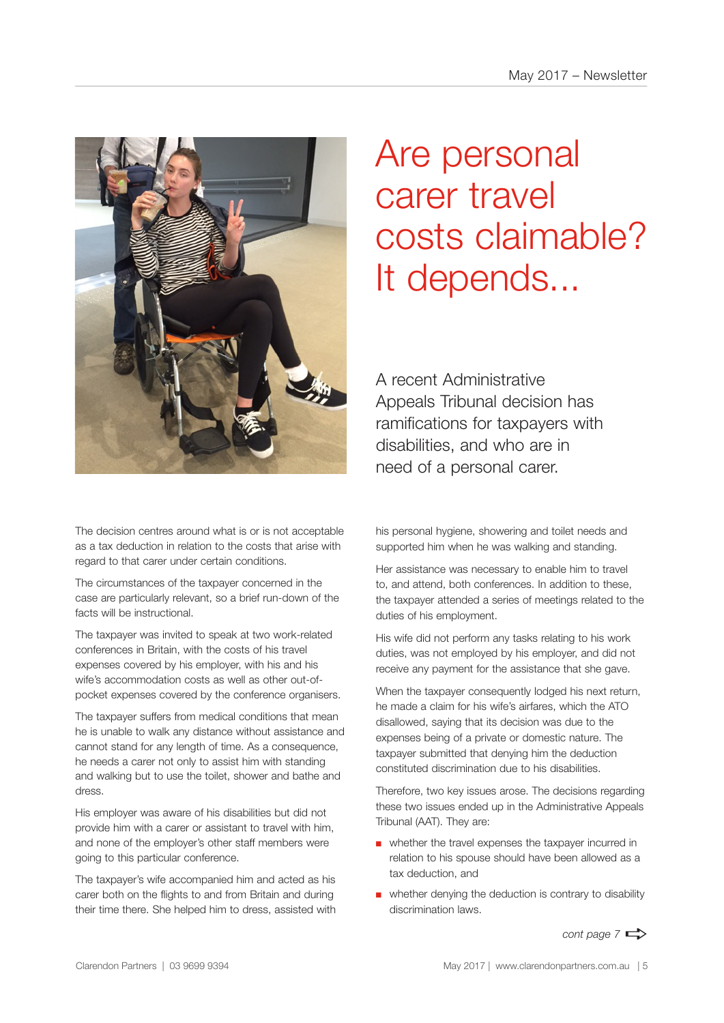

The decision centres around what is or is not acceptable as a tax deduction in relation to the costs that arise with regard to that carer under certain conditions.

The circumstances of the taxpayer concerned in the case are particularly relevant, so a brief run-down of the facts will be instructional.

The taxpayer was invited to speak at two work-related conferences in Britain, with the costs of his travel expenses covered by his employer, with his and his wife's accommodation costs as well as other out-ofpocket expenses covered by the conference organisers.

The taxpayer suffers from medical conditions that mean he is unable to walk any distance without assistance and cannot stand for any length of time. As a consequence, he needs a carer not only to assist him with standing and walking but to use the toilet, shower and bathe and dress.

His employer was aware of his disabilities but did not provide him with a carer or assistant to travel with him, and none of the employer's other staff members were going to this particular conference.

The taxpayer's wife accompanied him and acted as his carer both on the flights to and from Britain and during their time there. She helped him to dress, assisted with

# Are personal carer travel costs claimable? It depends...

A recent Administrative Appeals Tribunal decision has ramifications for taxpayers with disabilities, and who are in need of a personal carer.

his personal hygiene, showering and toilet needs and supported him when he was walking and standing.

Her assistance was necessary to enable him to travel to, and attend, both conferences. In addition to these, the taxpayer attended a series of meetings related to the duties of his employment.

His wife did not perform any tasks relating to his work duties, was not employed by his employer, and did not receive any payment for the assistance that she gave.

When the taxpayer consequently lodged his next return, he made a claim for his wife's airfares, which the ATO disallowed, saying that its decision was due to the expenses being of a private or domestic nature. The taxpayer submitted that denying him the deduction constituted discrimination due to his disabilities.

Therefore, two key issues arose. The decisions regarding these two issues ended up in the Administrative Appeals Tribunal (AAT). They are:

- whether the travel expenses the taxpayer incurred in relation to his spouse should have been allowed as a tax deduction, and
- whether denying the deduction is contrary to disability discrimination laws.

*cont page 7*  $\Rightarrow$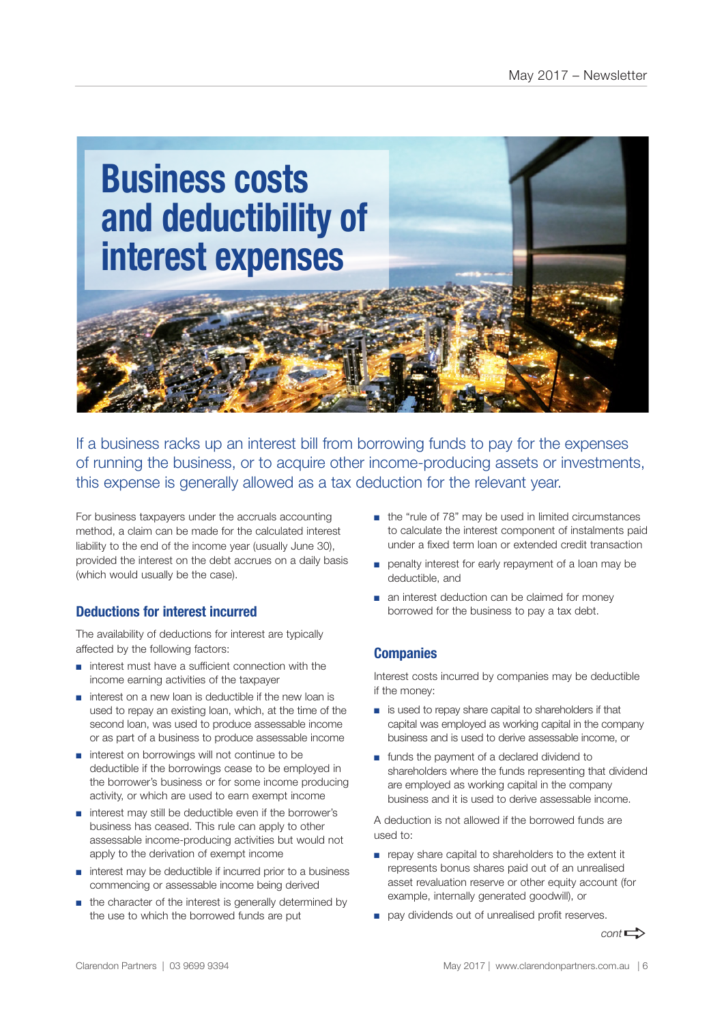

If a business racks up an interest bill from borrowing funds to pay for the expenses of running the business, or to acquire other income-producing assets or investments, this expense is generally allowed as a tax deduction for the relevant year.

For business taxpayers under the accruals accounting method, a claim can be made for the calculated interest liability to the end of the income year (usually June 30), provided the interest on the debt accrues on a daily basis (which would usually be the case).

## **Deductions for interest incurred**

The availability of deductions for interest are typically affected by the following factors:

- interest must have a sufficient connection with the income earning activities of the taxpayer
- interest on a new loan is deductible if the new loan is used to repay an existing loan, which, at the time of the second loan, was used to produce assessable income or as part of a business to produce assessable income
- interest on borrowings will not continue to be deductible if the borrowings cease to be employed in the borrower's business or for some income producing activity, or which are used to earn exempt income
- interest may still be deductible even if the borrower's business has ceased. This rule can apply to other assessable income-producing activities but would not apply to the derivation of exempt income
- interest may be deductible if incurred prior to a business commencing or assessable income being derived
- the character of the interest is generally determined by the use to which the borrowed funds are put
- the "rule of 78" may be used in limited circumstances to calculate the interest component of instalments paid under a fixed term loan or extended credit transaction
- penalty interest for early repayment of a loan may be deductible, and
- an interest deduction can be claimed for money borrowed for the business to pay a tax debt.

## **Companies**

Interest costs incurred by companies may be deductible if the money:

- is used to repay share capital to shareholders if that capital was employed as working capital in the company business and is used to derive assessable income, or
- funds the payment of a declared dividend to shareholders where the funds representing that dividend are employed as working capital in the company business and it is used to derive assessable income.

A deduction is not allowed if the borrowed funds are used to:

- repay share capital to shareholders to the extent it represents bonus shares paid out of an unrealised asset revaluation reserve or other equity account (for example, internally generated goodwill), or
- pay dividends out of unrealised profit reserves.

 $cont \rightarrow$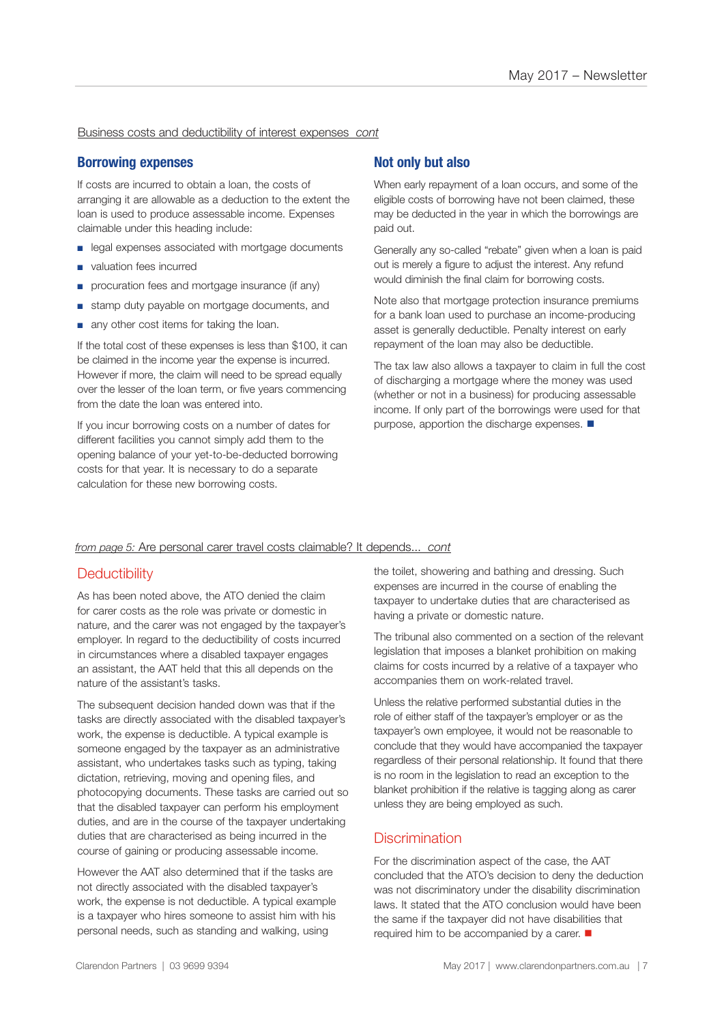Business costs and deductibility of interest expenses *cont*

#### **Borrowing expenses**

If costs are incurred to obtain a loan, the costs of arranging it are allowable as a deduction to the extent the loan is used to produce assessable income. Expenses claimable under this heading include:

- legal expenses associated with mortgage documents
- valuation fees incurred
- procuration fees and mortgage insurance (if any)
- stamp duty payable on mortgage documents, and
- any other cost items for taking the loan.

If the total cost of these expenses is less than \$100, it can be claimed in the income year the expense is incurred. However if more, the claim will need to be spread equally over the lesser of the loan term, or five years commencing from the date the loan was entered into.

If you incur borrowing costs on a number of dates for different facilities you cannot simply add them to the opening balance of your yet-to-be-deducted borrowing costs for that year. It is necessary to do a separate calculation for these new borrowing costs.

### **Not only but also**

When early repayment of a loan occurs, and some of the eligible costs of borrowing have not been claimed, these may be deducted in the year in which the borrowings are paid out.

Generally any so-called "rebate" given when a loan is paid out is merely a figure to adjust the interest. Any refund would diminish the final claim for borrowing costs.

Note also that mortgage protection insurance premiums for a bank loan used to purchase an income-producing asset is generally deductible. Penalty interest on early repayment of the loan may also be deductible.

The tax law also allows a taxpayer to claim in full the cost of discharging a mortgage where the money was used (whether or not in a business) for producing assessable income. If only part of the borrowings were used for that purpose, apportion the discharge expenses.  $\blacksquare$ 

#### *from page 5:* Are personal carer travel costs claimable? It depends... *cont*

### **Deductibility**

As has been noted above, the ATO denied the claim for carer costs as the role was private or domestic in nature, and the carer was not engaged by the taxpayer's employer. In regard to the deductibility of costs incurred in circumstances where a disabled taxpayer engages an assistant, the AAT held that this all depends on the nature of the assistant's tasks.

The subsequent decision handed down was that if the tasks are directly associated with the disabled taxpayer's work, the expense is deductible. A typical example is someone engaged by the taxpayer as an administrative assistant, who undertakes tasks such as typing, taking dictation, retrieving, moving and opening files, and photocopying documents. These tasks are carried out so that the disabled taxpayer can perform his employment duties, and are in the course of the taxpayer undertaking duties that are characterised as being incurred in the course of gaining or producing assessable income.

However the AAT also determined that if the tasks are not directly associated with the disabled taxpayer's work, the expense is not deductible. A typical example is a taxpayer who hires someone to assist him with his personal needs, such as standing and walking, using

the toilet, showering and bathing and dressing. Such expenses are incurred in the course of enabling the taxpayer to undertake duties that are characterised as having a private or domestic nature.

The tribunal also commented on a section of the relevant legislation that imposes a blanket prohibition on making claims for costs incurred by a relative of a taxpayer who accompanies them on work-related travel.

Unless the relative performed substantial duties in the role of either staff of the taxpayer's employer or as the taxpayer's own employee, it would not be reasonable to conclude that they would have accompanied the taxpayer regardless of their personal relationship. It found that there is no room in the legislation to read an exception to the blanket prohibition if the relative is tagging along as carer unless they are being employed as such.

### **Discrimination**

For the discrimination aspect of the case, the AAT concluded that the ATO's decision to deny the deduction was not discriminatory under the disability discrimination laws. It stated that the ATO conclusion would have been the same if the taxpayer did not have disabilities that required him to be accompanied by a carer.  $\blacksquare$